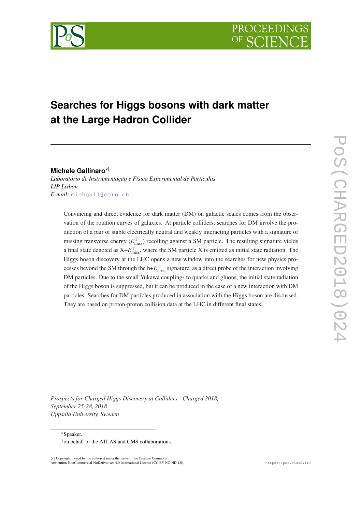

# **Searches for Higgs bosons with dark matter at the Large Hadron Collider**

**Michele Gallinaro**∗†

*Laboratório de Instrumentação e Física Experimental de Partículas LIP Lisbon E-mail:* [michgall@cern.ch](mailto:michgall@cern.ch)

Convincing and direct evidence for dark matter (DM) on galactic scales comes from the observation of the rotation curves of galaxies. At particle colliders, searches for DM involve the production of a pair of stable electrically neutral and weakly interacting particles with a signature of missing transverse energy ( $E_{\text{miss}}^{\text{T}}$ ) recoiling against a SM particle. The resulting signature yields a final state denoted as  $X + E_{\text{miss}}^T$ , where the SM particle X is emitted as initial state radiation. The Higgs boson discovery at the LHC opens a new window into the searches for new physics processes beyond the SM through the  $h + E_{\text{miss}}^T$  signature, as a direct probe of the interaction involving DM particles. Due to the small Yukawa couplings to quarks and gluons, the initial state radiation of the Higgs boson is suppressed, but it can be produced in the case of a new interaction with DM particles. Searches for DM particles produced in association with the Higgs boson are discussed. They are based on proton-proton collision data at the LHC in different final states.

*Prospects for Charged Higgs Discovery at Colliders - Charged 2018, September 25-28, 2018 Uppsala University, Sweden*

<sup>∗</sup>Speaker.

 $\overline{c}$  Copyright owned by the author(s) under the terms of the Creative Commons Attribution-NonCommercial-NoDerivatives 4.0 International License (CC BY-NC-ND 4.0). https://pos.sissa.it/

<sup>†</sup>on behalf of the ATLAS and CMS collaborations.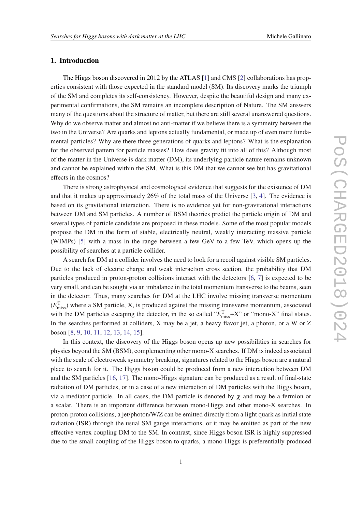# 1. Introduction

The Higgs boson discovered in 2012 by the ATLAS [[1\]](#page-6-0) and CMS [[2](#page-6-0)] collaborations has properties consistent with those expected in the standard model (SM). Its discovery marks the triumph of the SM and completes its self-consistency. However, despite the beautiful design and many experimental confirmations, the SM remains an incomplete description of Nature. The SM answers many of the questions about the structure of matter, but there are still several unanswered questions. Why do we observe matter and almost no anti-matter if we believe there is a symmetry between the two in the Universe? Are quarks and leptons actually fundamental, or made up of even more fundamental particles? Why are there three generations of quarks and leptons? What is the explanation for the observed pattern for particle masses? How does gravity fit into all of this? Although most of the matter in the Universe is dark matter (DM), its underlying particle nature remains unknown and cannot be explained within the SM. What is this DM that we cannot see but has gravitational effects in the cosmos?

There is strong astrophysical and cosmological evidence that suggests for the existence of DM and that it makes up approximately 26% of the total mass of the Universe [\[3,](#page-6-0) [4](#page-6-0)]. The evidence is based on its gravitational interaction. There is no evidence yet for non-gravitational interactions between DM and SM particles. A number of BSM theories predict the particle origin of DM and several types of particle candidate are proposed in these models. Some of the most popular models propose the DM in the form of stable, electrically neutral, weakly interacting massive particle (WIMPs) [\[5\]](#page-6-0) with a mass in the range between a few GeV to a few TeV, which opens up the possibility of searches at a particle collider.

A search for DM at a collider involves the need to look for a recoil against visible SM particles. Due to the lack of electric charge and weak interaction cross section, the probability that DM particles produced in proton-proton collisions interact with the detectors [\[6,](#page-6-0) [7](#page-6-0)] is expected to be very small, and can be sought via an imbalance in the total momentum transverse to the beams, seen in the detector. Thus, many searches for DM at the LHC involve missing transverse momentum  $(E_{\text{miss}}^T)$  where a SM particle, X, is produced against the missing transverse momentum, associated with the DM particles escaping the detector, in the so called " $E_{\text{miss}}^T+X$ " or "mono-X" final states. In the searches performed at colliders, X may be a jet, a heavy flavor jet, a photon, or a W or Z boson [[8](#page-6-0), [9](#page-6-0), [10](#page-6-0), [11,](#page-6-0) [12](#page-6-0), [13,](#page-6-0) [14,](#page-6-0) [15](#page-7-0)].

In this context, the discovery of the Higgs boson opens up new possibilities in searches for physics beyond the SM (BSM), complementing other mono-X searches. If DM is indeed associated with the scale of electroweak symmetry breaking, signatures related to the Higgs boson are a natural place to search for it. The Higgs boson could be produced from a new interaction between DM and the SM particles [[16,](#page-7-0) [17](#page-7-0)]. The mono-Higgs signature can be produced as a result of final-state radiation of DM particles, or in a case of a new interaction of DM particles with the Higgs boson, via a mediator particle. In all cases, the DM particle is denoted by  $\chi$  and may be a fermion or a scalar. There is an important difference between mono-Higgs and other mono-X searches. In proton-proton collisions, a jet/photon/W/Z can be emitted directly from a light quark as initial state radiation (ISR) through the usual SM gauge interactions, or it may be emitted as part of the new effective vertex coupling DM to the SM. In contrast, since Higgs boson ISR is highly suppressed due to the small coupling of the Higgs boson to quarks, a mono-Higgs is preferentially produced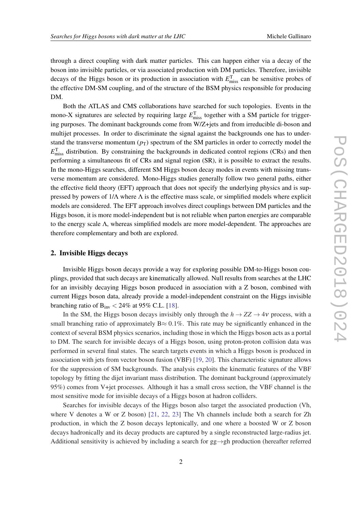through a direct coupling with dark matter particles. This can happen either via a decay of the boson into invisible particles, or via associated production with DM particles. Therefore, invisible decays of the Higgs boson or its production in association with  $E_{\text{miss}}^{\text{T}}$  can be sensitive probes of the effective DM-SM coupling, and of the structure of the BSM physics responsible for producing DM.

Both the ATLAS and CMS collaborations have searched for such topologies. Events in the mono-X signatures are selected by requiring large  $E_{\text{miss}}^{\text{T}}$  together with a SM particle for triggering purposes. The dominant backgrounds come from W/Z+jets and from irreducible di-boson and multijet processes. In order to discriminate the signal against the backgrounds one has to understand the transverse momentum  $(p_T)$  spectrum of the SM particles in order to correctly model the  $E_{\text{miss}}^{\text{T}}$  distribution. By constraining the backgrounds in dedicated control regions (CRs) and then performing a simultaneous fit of CRs and signal region (SR), it is possible to extract the results. In the mono-Higgs searches, different SM Higgs boson decay modes in events with missing transverse momentum are considered. Mono-Higgs studies generally follow two general paths, either the effective field theory (EFT) approach that does not specify the underlying physics and is suppressed by powers of  $1/\Lambda$  where  $\Lambda$  is the effective mass scale, or simplified models where explicit models are considered. The EFT approach involves direct couplings between DM particles and the Higgs boson, it is more model-independent but is not reliable when parton energies are comparable to the energy scale Λ, whereas simplified models are more model-dependent. The approaches are therefore complementary and both are explored.

## 2. Invisible Higgs decays

Invisible Higgs boson decays provide a way for exploring possible DM-to-Higgs boson couplings, provided that such decays are kinematically allowed. Null results from searches at the LHC for an invisibly decaying Higgs boson produced in association with a Z boson, combined with current Higgs boson data, already provide a model-independent constraint on the Higgs invisible branching ratio of  $B_{inv} < 24\%$  at 95% C.L. [\[18\]](#page-7-0).

In the SM, the Higgs boson decays invisibly only through the  $h \to ZZ \to 4\nu$  process, with a small branching ratio of approximately  $B \approx 0.1\%$ . This rate may be significantly enhanced in the context of several BSM physics scenarios, including those in which the Higgs boson acts as a portal to DM. The search for invisible decays of a Higgs boson, using proton-proton collision data was performed in several final states. The search targets events in which a Higgs boson is produced in association with jets from vector boson fusion (VBF) [\[19](#page-7-0), [20\]](#page-7-0). This characteristic signature allows for the suppression of SM backgrounds. The analysis exploits the kinematic features of the VBF topology by fitting the dijet invariant mass distribution. The dominant background (approximately 95%) comes from V+jet processes. Although it has a small cross section, the VBF channel is the most sensitive mode for invisible decays of a Higgs boson at hadron colliders.

Searches for invisible decays of the Higgs boson also target the associated production (Vh, where V denotes a W or Z boson) [[21,](#page-7-0) [22,](#page-7-0) [23](#page-7-0)] The Vh channels include both a search for Zh production, in which the Z boson decays leptonically, and one where a boosted W or Z boson decays hadronically and its decay products are captured by a single reconstructed large-radius jet. Additional sensitivity is achieved by including a search for  $gg \rightarrow gh$  production (hereafter referred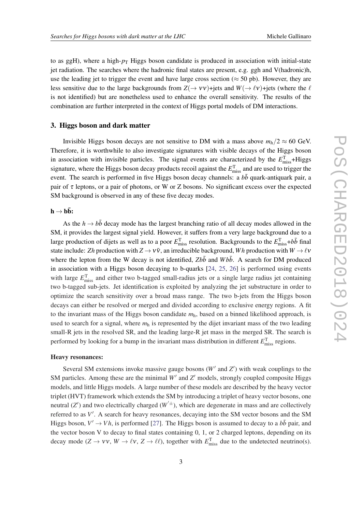to as ggH), where a high- $p<sub>T</sub>$  Higgs boson candidate is produced in association with initial-state jet radiation. The searches where the hadronic final states are present, e.g. ggh and V(hadronic)h, use the leading jet to trigger the event and have large cross section ( $\approx$  50 pb). However, they are less sensitive due to the large backgrounds from  $Z(\to VV)$ +jets and  $W(\to \ell V)$ +jets (where the  $\ell$ is not identified) but are nonetheless used to enhance the overall sensitivity. The results of the combination are further interpreted in the context of Higgs portal models of DM interactions.

## 3. Higgs boson and dark matter

Invisible Higgs boson decays are not sensitive to DM with a mass above  $m_h/2 \approx 60$  GeV. Therefore, it is worthwhile to also investigate signatures with visible decays of the Higgs boson in association with invisible particles. The signal events are characterized by the  $E_{\text{miss}}^T$ +Higgs signature, where the Higgs boson decay products recoil against the *E* T miss and are used to trigger the event. The search is performed in five Higgs boson decay channels: a  $b\bar{b}$  quark-antiquark pair, a pair of  $\tau$  leptons, or a pair of photons, or W or Z bosons. No significant excess over the expected SM background is observed in any of these five decay modes.

# $\mathbf{h} \rightarrow \mathbf{b}\bar{\mathbf{b}}$ :

As the  $h \to b\bar{b}$  decay mode has the largest branching ratio of all decay modes allowed in the SM, it provides the largest signal yield. However, it suffers from a very large background due to a large production of dijets as well as to a poor  $E_{\text{miss}}^T$  resolution. Backgrounds to the  $E_{\text{miss}}^T + b\bar{b}$  final state include: *Zh* production with  $Z \to v\bar{v}$ , an irreducible background, *Wh* production with  $W \to \ell v$ where the lepton from the W decay is not identified,  $Zb\bar{b}$  and  $Wb\bar{b}$ . A search for DM produced in association with a Higgs boson decaying to b-quarks [\[24](#page-7-0), [25,](#page-7-0) [26\]](#page-7-0) is performed using events with large  $E_{\text{miss}}^{\text{T}}$  and either two b-tagged small-radius jets or a single large radius jet containing two b-tagged sub-jets. Jet identification is exploited by analyzing the jet substructure in order to optimize the search sensitivity over a broad mass range. The two b-jets from the Higgs boson decays can either be resolved or merged and divided according to exclusive energy regions. A fit to the invariant mass of the Higgs boson candidate *m*h, based on a binned likelihood approach, is used to search for a signal, where  $m_h$  is represented by the dijet invariant mass of the two leading small-R jets in the resolved SR, and the leading large-R jet mass in the merged SR. The search is performed by looking for a bump in the invariant mass distribution in different  $E_{\text{miss}}^{\text{T}}$  regions.

#### Heavy resonances:

Several SM extensions invoke massive gauge bosons ( $W'$  and  $Z'$ ) with weak couplings to the SM particles. Among these are the minimal  $W'$  and  $Z'$  models, strongly coupled composite Higgs models, and little Higgs models. A large number of these models are described by the heavy vector triplet (HVT) framework which extends the SM by introducing a triplet of heavy vector bosons, one neutral  $(Z')$  and two electrically charged  $(W'^{\pm})$ , which are degenerate in mass and are collectively referred to as V'. A search for heavy resonances, decaying into the SM vector bosons and the SM Higgs boson,  $V' \rightarrow V h$ , is performed [\[27](#page-7-0)]. The Higgs boson is assumed to decay to a  $b\bar{b}$  pair, and the vector boson V to decay to final states containing 0, 1, or 2 charged leptons, depending on its decay mode  $(Z \to v v, W \to \ell v, Z \to \ell \ell)$ , together with  $E_{\text{miss}}^T$  due to the undetected neutrino(s).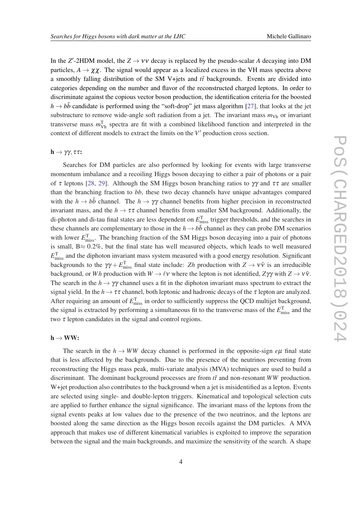In the  $Z'$ -2HDM model, the  $Z \rightarrow VV$  decay is replaced by the pseudo-scalar *A* decaying into DM particles,  $A \rightarrow \chi \chi$ . The signal would appear as a localized excess in the VH mass spectra above a smoothly falling distribution of the SM V+jets and  $t\bar{t}$  backgrounds. Events are divided into categories depending on the number and flavor of the reconstructed charged leptons. In order to discriminate against the copious vector boson production, the identification criteria for the boosted  $h \rightarrow b\bar{b}$  candidate is performed using the "soft-drop" jet mass algorithm [[27\]](#page-7-0), that looks at the jet substructure to remove wide-angle soft radiation from a jet. The invariant mass  $m_{\text{Vh}}$  or invariant transverse mass  $m_{\text{Vh}}^{\text{T}}$  spectra are fit with a combined likelihood function and interpreted in the context of different models to extract the limits on the  $V'$  production cross section.

## $\mathbf{h} \rightarrow \gamma \gamma$ , ττ:

Searches for DM particles are also performed by looking for events with large transverse momentum imbalance and a recoiling Higgs boson decaying to either a pair of photons or a pair of  $\tau$  leptons [\[28](#page-7-0), [29\]](#page-7-0). Although the SM Higgs boson branching ratios to  $\gamma\gamma$  and  $\tau\tau$  are smaller than the branching fraction to *bb*, these two decay channels have unique advantages compared with the  $h \to b\bar{b}$  channel. The  $h \to \gamma\gamma$  channel benefits from higher precision in reconstructed invariant mass, and the  $h \to \tau \tau$  channel benefits from smaller SM background. Additionally, the di-photon and di-tau final states are less dependent on *E* T miss trigger thresholds, and the searches in these channels are complementary to those in the  $h \to b\bar{b}$  channel as they can probe DM scenarios with lower  $E_{\text{miss}}^{\text{T}}$ . The branching fraction of the SM Higgs boson decaying into a pair of photons is small,  $B \approx 0.2\%$ , but the final state has well measured objects, which leads to well measured  $E_{\text{miss}}^{\text{T}}$  and the diphoton invariant mass system measured with a good energy resolution. Significant backgrounds to the  $\gamma\gamma + E_{\text{miss}}^T$  final state include: *Zh* production with  $Z \to v\bar{v}$  is an irreducible background, or *Wh* production with  $W \to \ell \nu$  where the lepton is not identified,  $Z\gamma\gamma$  with  $Z \to \nu\bar{\nu}$ . The search in the  $h \to \gamma \gamma$  channel uses a fit in the diphoton invariant mass spectrum to extract the signal yield. In the  $h \to \tau \tau$  channel, both leptonic and hadronic decays of the  $\tau$  lepton are analyzed. After requiring an amount of  $E_{\text{miss}}^{\text{T}}$  in order to sufficiently suppress the QCD multijet background, the signal is extracted by performing a simultaneous fit to the transverse mass of the  $E_{\text{miss}}^{\text{T}}$  and the two  $\tau$  lepton candidates in the signal and control regions.

#### $h \rightarrow WW$ :

The search in the  $h \to WW$  decay channel is performed in the opposite-sign  $e\mu$  final state that is less affected by the backgrounds. Due to the presence of the neutrinos preventing from reconstructing the Higgs mass peak, multi-variate analysis (MVA) techniques are used to build a discriminant. The dominant background processes are from  $t\bar{t}$  and non-resonant *WW* production. W+jet production also contributes to the background when a jet is misidentified as a lepton. Events are selected using single- and double-lepton triggers. Kinematical and topological selection cuts are applied to further enhance the signal significance. The invariant mass of the leptons from the signal events peaks at low values due to the presence of the two neutrinos, and the leptons are boosted along the same direction as the Higgs boson recoils against the DM particles. A MVA approach that makes use of different kinematical variables is exploited to improve the separation between the signal and the main backgrounds, and maximize the sensitivity of the search. A shape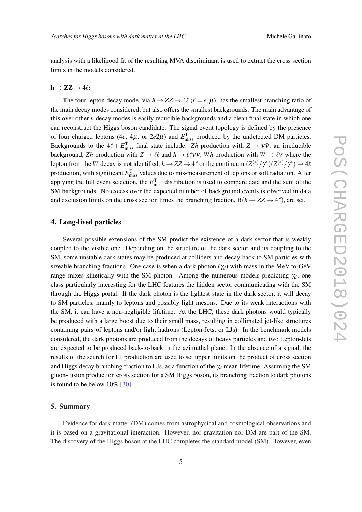analysis with a likelihood fit of the resulting MVA discriminant is used to extract the cross section limits in the models considered.

#### $h \rightarrow ZZ \rightarrow 4\ell$ :

The four-lepton decay mode, via  $h \to ZZ \to 4\ell$  ( $\ell = e, \mu$ ), has the smallest branching ratio of the main decay modes considered, but also offers the smallest backgrounds. The main advantage of this over other *h* decay modes is easily reducible backgrounds and a clean final state in which one can reconstruct the Higgs boson candidate. The signal event topology is defined by the presence of four charged leptons (4*e*, 4 $\mu$ , or 2*e*2 $\mu$ ) and  $E_{\text{miss}}^T$  produced by the undetected DM particles. Backgrounds to the  $4\ell + E_{\text{miss}}^T$  final state include: *Zh* production with  $Z \rightarrow V\bar{V}$ , an irreducible background, *Zh* production with  $Z \to \ell \ell$  and  $h \to \ell \ell \nu v$ , *Wh* production with  $W \to \ell \nu$  where the lepton from the *W* decay is not identified,  $h\to ZZ\to 4\ell$  or the continuum  $(Z^{(*)}/\gamma^*)(Z^{(*)}/\gamma^*)\to 4\ell$ production, with significant  $E_{\text{miss}}^{\text{T}}$  values due to mis-measurement of leptons or soft radiation. After applying the full event selection, the  $E_{\text{miss}}^{\text{T}}$  distribution is used to compare data and the sum of the SM backgrounds. No excess over the expected number of background events is observed in data and exclusion limits on the cross section times the branching fraction,  $B(h \to ZZ \to 4\ell)$ , are set.

## 4. Long-lived particles

Several possible extensions of the SM predict the existence of a dark sector that is weakly coupled to the visible one. Depending on the structure of the dark sector and its coupling to the SM, some unstable dark states may be produced at colliders and decay back to SM particles with sizeable branching fractions. One case is when a dark photon  $(\gamma_d)$  with mass in the MeV-to-GeV range mixes kinetically with the SM photon. Among the numerous models predicting  $\gamma_d$ , one class particularly interesting for the LHC features the hidden sector communicating with the SM through the Higgs portal. If the dark photon is the lightest state in the dark sector, it will decay to SM particles, mainly to leptons and possibly light mesons. Due to its weak interactions with the SM, it can have a non-negligible lifetime. At the LHC, these dark photons would typically be produced with a large boost due to their small mass, resulting in collimated jet-like structures containing pairs of leptons and/or light hadrons (Lepton-Jets, or LJs). In the benchmark models considered, the dark photons are produced from the decays of heavy particles and two Lepton-Jets are expected to be produced back-to-back in the azimuthal plane. In the absence of a signal, the results of the search for LJ production are used to set upper limits on the product of cross section and Higgs decay branching fraction to LJs, as a function of the  $\gamma_d$  mean lifetime. Assuming the SM gluon-fusion production cross section for a SM Higgs boson, its branching fraction to dark photons is found to be below 10% [\[30](#page-7-0)].

## 5. Summary

Evidence for dark matter (DM) comes from astrophysical and cosmological observations and it is based on a gravitational interaction. However, nor gravitation nor DM are part of the SM. The discovery of the Higgs boson at the LHC completes the standard model (SM). However, even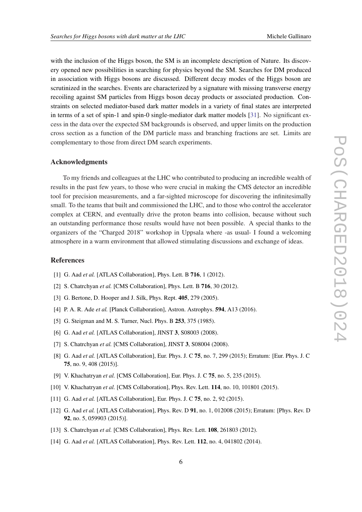<span id="page-6-0"></span>with the inclusion of the Higgs boson, the SM is an incomplete description of Nature. Its discovery opened new possibilities in searching for physics beyond the SM. Searches for DM produced in association with Higgs bosons are discussed. Different decay modes of the Higgs boson are scrutinized in the searches. Events are characterized by a signature with missing transverse energy recoiling against SM particles from Higgs boson decay products or associated production. Constraints on selected mediator-based dark matter models in a variety of final states are interpreted in terms of a set of spin-1 and spin-0 single-mediator dark matter models [[31\]](#page-7-0). No significant excess in the data over the expected SM backgrounds is observed, and upper limits on the production cross section as a function of the DM particle mass and branching fractions are set. Limits are complementary to those from direct DM search experiments.

## Acknowledgments

To my friends and colleagues at the LHC who contributed to producing an incredible wealth of results in the past few years, to those who were crucial in making the CMS detector an incredible tool for precision measurements, and a far-sighted microscope for discovering the infinitesimally small. To the teams that built and commissioned the LHC, and to those who control the accelerator complex at CERN, and eventually drive the proton beams into collision, because without such an outstanding performance those results would have not been possible. A special thanks to the organizers of the "Charged 2018" workshop in Uppsala where -as usual- I found a welcoming atmosphere in a warm environment that allowed stimulating discussions and exchange of ideas.

# References

- [1] G. Aad *et al.* [ATLAS Collaboration], Phys. Lett. B **716**, 1 (2012).
- [2] S. Chatrchyan *et al.* [CMS Collaboration], Phys. Lett. B **716**, 30 (2012).
- [3] G. Bertone, D. Hooper and J. Silk, Phys. Rept. 405, 279 (2005).
- [4] P. A. R. Ade *et al.* [Planck Collaboration], Astron. Astrophys. **594**, A13 (2016).
- [5] G. Steigman and M. S. Turner, Nucl. Phys. B 253, 375 (1985).
- [6] G. Aad *et al.* [ATLAS Collaboration], JINST 3, S08003 (2008).
- [7] S. Chatrchyan *et al.* [CMS Collaboration], JINST 3, S08004 (2008).
- [8] G. Aad *et al.* [ATLAS Collaboration], Eur. Phys. J. C 75, no. 7, 299 (2015); Erratum: [Eur. Phys. J. C 75, no. 9, 408 (2015)].
- [9] V. Khachatryan *et al.* [CMS Collaboration], Eur. Phys. J. C 75, no. 5, 235 (2015).
- [10] V. Khachatryan *et al.* [CMS Collaboration], Phys. Rev. Lett. 114, no. 10, 101801 (2015).
- [11] G. Aad *et al.* [ATLAS Collaboration], Eur. Phys. J. C 75, no. 2, 92 (2015).
- [12] G. Aad *et al.* [ATLAS Collaboration], Phys. Rev. D 91, no. 1, 012008 (2015); Erratum: [Phys. Rev. D 92, no. 5, 059903 (2015)].
- [13] S. Chatrchyan *et al.* [CMS Collaboration], Phys. Rev. Lett. **108**, 261803 (2012).
- [14] G. Aad *et al.* [ATLAS Collaboration], Phys. Rev. Lett. **112**, no. 4, 041802 (2014).